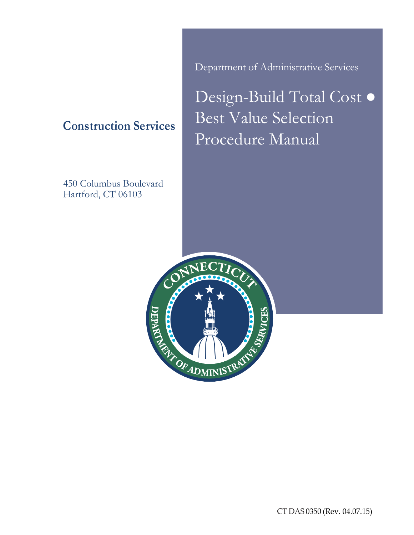**Construction Services**

450 Columbus Boulevard Hartford, CT 06103

Department of Administrative Services

Design-Build Total Cost ● Best Value Selection Procedure Manual



CT DAS 0350 (Rev. 04.07.15)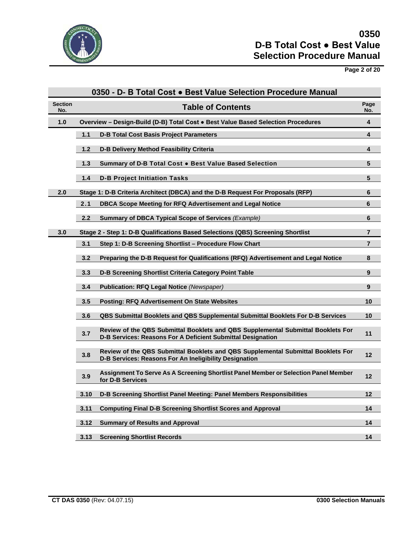

# **Page 2 of 20**

|                       | 0350 - D- B Total Cost . Best Value Selection Procedure Manual                                                                                         |                |  |  |  |
|-----------------------|--------------------------------------------------------------------------------------------------------------------------------------------------------|----------------|--|--|--|
| <b>Section</b><br>No. | <b>Table of Contents</b>                                                                                                                               | Page<br>No.    |  |  |  |
| 1.0                   | Overview - Design-Build (D-B) Total Cost . Best Value Based Selection Procedures                                                                       | 4              |  |  |  |
|                       | 1.1<br><b>D-B Total Cost Basis Project Parameters</b>                                                                                                  | 4              |  |  |  |
|                       | $1.2$<br>D-B Delivery Method Feasibility Criteria                                                                                                      | 4              |  |  |  |
|                       | 1.3<br>Summary of D-B Total Cost . Best Value Based Selection                                                                                          | 5              |  |  |  |
|                       | $1.4$<br><b>D-B Project Initiation Tasks</b>                                                                                                           | 5              |  |  |  |
| 2.0                   | Stage 1: D-B Criteria Architect (DBCA) and the D-B Request For Proposals (RFP)                                                                         | 6              |  |  |  |
|                       | 2.1<br>DBCA Scope Meeting for RFQ Advertisement and Legal Notice                                                                                       | 6              |  |  |  |
|                       | 2.2<br>Summary of DBCA Typical Scope of Services (Example)                                                                                             | 6              |  |  |  |
| 3.0                   | Stage 2 - Step 1: D-B Qualifications Based Selections (QBS) Screening Shortlist                                                                        | $\overline{7}$ |  |  |  |
|                       | 3.1<br>Step 1: D-B Screening Shortlist - Procedure Flow Chart                                                                                          | $\overline{7}$ |  |  |  |
|                       | 3.2<br>Preparing the D-B Request for Qualifications (RFQ) Advertisement and Legal Notice                                                               | 8              |  |  |  |
|                       | 3.3<br>D-B Screening Shortlist Criteria Category Point Table                                                                                           | 9              |  |  |  |
|                       | <b>Publication: RFQ Legal Notice (Newspaper)</b><br>3.4                                                                                                | 9              |  |  |  |
|                       | 3.5<br><b>Posting: RFQ Advertisement On State Websites</b>                                                                                             | 10             |  |  |  |
|                       | 3.6<br><b>QBS Submittal Booklets and QBS Supplemental Submittal Booklets For D-B Services</b>                                                          | 10             |  |  |  |
|                       | Review of the QBS Submittal Booklets and QBS Supplemental Submittal Booklets For<br>3.7<br>D-B Services: Reasons For A Deficient Submittal Designation | 11             |  |  |  |
|                       | Review of the QBS Submittal Booklets and QBS Supplemental Submittal Booklets For<br>3.8<br>D-B Services: Reasons For An Ineligibility Designation      | 12             |  |  |  |
|                       | Assignment To Serve As A Screening Shortlist Panel Member or Selection Panel Member<br>3.9<br>for D-B Services                                         | 12             |  |  |  |
|                       | D-B Screening Shortlist Panel Meeting: Panel Members Responsibilities<br>3.10                                                                          | 12             |  |  |  |
|                       | 3.11<br><b>Computing Final D-B Screening Shortlist Scores and Approval</b>                                                                             | 14             |  |  |  |
|                       | 3.12<br><b>Summary of Results and Approval</b>                                                                                                         | 14             |  |  |  |
|                       | 3.13<br><b>Screening Shortlist Records</b>                                                                                                             | 14             |  |  |  |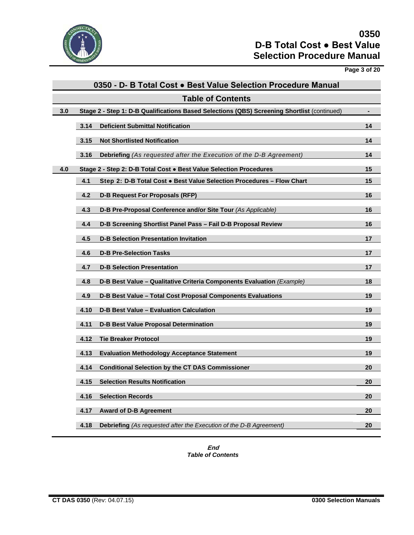

**Page 3 of 20**

| 0350 - D- B Total Cost . Best Value Selection Procedure Manual |                          |                                                                                             |    |  |  |
|----------------------------------------------------------------|--------------------------|---------------------------------------------------------------------------------------------|----|--|--|
|                                                                | <b>Table of Contents</b> |                                                                                             |    |  |  |
| 3.0                                                            |                          | Stage 2 - Step 1: D-B Qualifications Based Selections (QBS) Screening Shortlist (continued) |    |  |  |
|                                                                | 3.14                     | <b>Deficient Submittal Notification</b>                                                     | 14 |  |  |
|                                                                | 3.15                     | <b>Not Shortlisted Notification</b>                                                         | 14 |  |  |
|                                                                | 3.16                     | Debriefing (As requested after the Execution of the D-B Agreement)                          | 14 |  |  |
| 4.0                                                            |                          | Stage 2 - Step 2: D-B Total Cost • Best Value Selection Procedures                          | 15 |  |  |
|                                                                | 4.1                      | Step 2: D-B Total Cost . Best Value Selection Procedures - Flow Chart                       | 15 |  |  |
|                                                                | 4.2                      | <b>D-B Request For Proposals (RFP)</b>                                                      | 16 |  |  |
|                                                                | 4.3                      | D-B Pre-Proposal Conference and/or Site Tour (As Applicable)                                | 16 |  |  |
|                                                                | 4.4                      | D-B Screening Shortlist Panel Pass - Fail D-B Proposal Review                               | 16 |  |  |
|                                                                | 4.5                      | <b>D-B Selection Presentation Invitation</b>                                                | 17 |  |  |
|                                                                | 4.6                      | <b>D-B Pre-Selection Tasks</b>                                                              | 17 |  |  |
|                                                                | 4.7                      | <b>D-B Selection Presentation</b>                                                           | 17 |  |  |
|                                                                | 4.8                      | D-B Best Value - Qualitative Criteria Components Evaluation (Example)                       | 18 |  |  |
|                                                                | 4.9                      | D-B Best Value - Total Cost Proposal Components Evaluations                                 | 19 |  |  |
|                                                                | 4.10                     | <b>D-B Best Value - Evaluation Calculation</b>                                              | 19 |  |  |
|                                                                | 4.11                     | <b>D-B Best Value Proposal Determination</b>                                                | 19 |  |  |
|                                                                | 4.12                     | <b>Tie Breaker Protocol</b>                                                                 | 19 |  |  |
|                                                                | 4.13                     | <b>Evaluation Methodology Acceptance Statement</b>                                          | 19 |  |  |
|                                                                | 4.14                     | <b>Conditional Selection by the CT DAS Commissioner</b>                                     | 20 |  |  |
|                                                                | 4.15                     | <b>Selection Results Notification</b>                                                       | 20 |  |  |
|                                                                | 4.16                     | <b>Selection Records</b>                                                                    | 20 |  |  |
|                                                                | 4.17                     | <b>Award of D-B Agreement</b>                                                               | 20 |  |  |
|                                                                | 4.18                     | <b>Debriefing</b> (As requested after the Execution of the D-B Agreement)                   | 20 |  |  |

**End** *Table of Contents*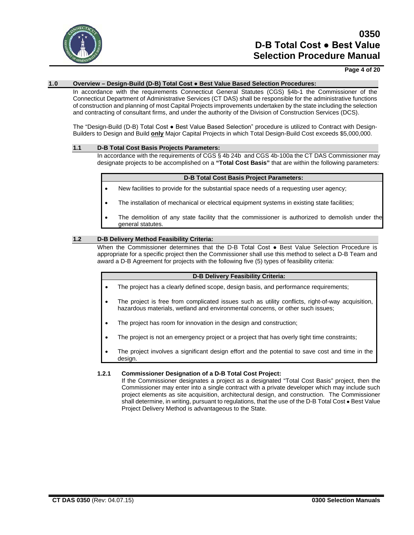

### **Page 4 of 20**

#### **1.0 Overview – Design-Build (D-B) Total Cost ● Best Value Based Selection Procedures:**

In accordance with the requirements Connecticut General Statutes (CGS) §4b-1 the Commissioner of the Connecticut Department of Administrative Services (CT DAS) shall be responsible for the administrative functions of construction and planning of most Capital Projects improvements undertaken by the state including the selection and contracting of consultant firms, and under the authority of the Division of Construction Services (DCS).

The "Design-Build (D-B) Total Cost ● Best Value Based Selection" procedure is utilized to Contract with Design-Builders to Design and Build **only** Major Capital Projects in which Total Design-Build Cost exceeds \$5,000,000.

#### **1.1 D-B Total Cost Basis Projects Parameters:**

In accordance with the requirements of CGS § 4b 24b and CGS 4b-100a the CT DAS Commissioner may designate projects to be accomplished on a **"Total Cost Basis"** that are within the following parameters:

#### **D-B Total Cost Basis Project Parameters:**

- New facilities to provide for the substantial space needs of a requesting user agency;
- The installation of mechanical or electrical equipment systems in existing state facilities;
- The demolition of any state facility that the commissioner is authorized to demolish under the general statutes.

#### **1.2 D-B Delivery Method Feasibility Criteria:**

When the Commissioner determines that the D-B Total Cost • Best Value Selection Procedure is appropriate for a specific project then the Commissioner shall use this method to select a D-B Team and award a D-B Agreement for projects with the following five (5) types of feasibility criteria:

#### **D-B Delivery Feasibility Criteria:**

- The project has a clearly defined scope, design basis, and performance requirements;
- The project is free from complicated issues such as utility conflicts, right-of-way acquisition, hazardous materials, wetland and environmental concerns, or other such issues;
- The project has room for innovation in the design and construction;
- The project is not an emergency project or a project that has overly tight time constraints;
- The project involves a significant design effort and the potential to save cost and time in the design.

#### **1.2.1 Commissioner Designation of a D-B Total Cost Project:**

If the Commissioner designates a project as a designated "Total Cost Basis" project, then the Commissioner may enter into a single contract with a private developer which may include such project elements as site acquisition, architectural design, and construction. The Commissioner shall determine, in writing, pursuant to regulations, that the use of the D-B Total Cost . Best Value Project Delivery Method is advantageous to the State.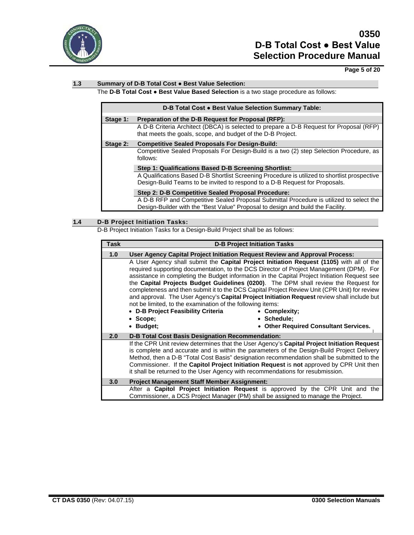

## **Page 5 of 20**

## **1.3 Summary of D-B Total Cost ● Best Value Selection:**

The **D-B Total Cost ● Best Value Based Selection** is a two stage procedure as follows:

| D-B Total Cost . Best Value Selection Summary Table: |                                                                                                                                                                              |  |  |
|------------------------------------------------------|------------------------------------------------------------------------------------------------------------------------------------------------------------------------------|--|--|
| Stage 1:                                             | Preparation of the D-B Request for Proposal (RFP):                                                                                                                           |  |  |
|                                                      | A D-B Criteria Architect (DBCA) is selected to prepare a D-B Request for Proposal (RFP)<br>that meets the goals, scope, and budget of the D-B Project.                       |  |  |
| Stage 2:                                             | <b>Competitive Sealed Proposals For Design-Build:</b>                                                                                                                        |  |  |
|                                                      | Competitive Sealed Proposals For Design-Build is a two (2) step Selection Procedure, as<br>follows:                                                                          |  |  |
|                                                      | Step 1: Qualifications Based D-B Screening Shortlist:                                                                                                                        |  |  |
|                                                      | A Qualifications Based D-B Shortlist Screening Procedure is utilized to shortlist prospective<br>Design-Build Teams to be invited to respond to a D-B Request for Proposals. |  |  |
|                                                      | Step 2: D-B Competitive Sealed Proposal Procedure:                                                                                                                           |  |  |
|                                                      | A D-B RFP and Competitive Sealed Proposal Submittal Procedure is utilized to select the                                                                                      |  |  |
|                                                      | Design-Builder with the "Best Value" Proposal to design and build the Facility.                                                                                              |  |  |

## **1.4 D-B Project Initiation Tasks:**

D-B Project Initiation Tasks for a Design-Build Project shall be as follows:

| <b>Task</b>      | <b>D-B Project Initiation Tasks</b>                                                                                                                                                                                                                                                                                                                                                                                                                                                                                                                                                                                                                                                                                                                                              |
|------------------|----------------------------------------------------------------------------------------------------------------------------------------------------------------------------------------------------------------------------------------------------------------------------------------------------------------------------------------------------------------------------------------------------------------------------------------------------------------------------------------------------------------------------------------------------------------------------------------------------------------------------------------------------------------------------------------------------------------------------------------------------------------------------------|
| 1.0              | User Agency Capital Project Initiation Request Review and Approval Process:                                                                                                                                                                                                                                                                                                                                                                                                                                                                                                                                                                                                                                                                                                      |
|                  | A User Agency shall submit the Capital Project Initiation Request (1105) with all of the<br>required supporting documentation, to the DCS Director of Project Management (DPM). For<br>assistance in completing the Budget information in the Capital Project Initiation Request see<br>the Capital Projects Budget Guidelines (0200). The DPM shall review the Request for<br>completeness and then submit it to the DCS Capital Project Review Unit (CPR Unit) for review<br>and approval. The User Agency's Capital Project Initiation Request review shall include but<br>not be limited, to the examination of the following items:<br>• D-B Project Feasibility Criteria<br>• Complexity;<br>• Schedule:<br>• Scope:<br>• Budget;<br>• Other Required Consultant Services. |
| 2.0              | <b>D-B Total Cost Basis Designation Recommendation:</b>                                                                                                                                                                                                                                                                                                                                                                                                                                                                                                                                                                                                                                                                                                                          |
|                  | If the CPR Unit review determines that the User Agency's Capital Project Initiation Request<br>is complete and accurate and is within the parameters of the Design-Build Project Delivery<br>Method, then a D-B "Total Cost Basis" designation recommendation shall be submitted to the<br>Commissioner. If the Capitol Project Initiation Request is not approved by CPR Unit then<br>it shall be returned to the User Agency with recommendations for resubmission.                                                                                                                                                                                                                                                                                                            |
| 3.0 <sub>2</sub> | <b>Project Management Staff Member Assignment:</b>                                                                                                                                                                                                                                                                                                                                                                                                                                                                                                                                                                                                                                                                                                                               |
|                  | After a Capitol Project Initiation Request is approved by the CPR Unit and the<br>Commissioner, a DCS Project Manager (PM) shall be assigned to manage the Project.                                                                                                                                                                                                                                                                                                                                                                                                                                                                                                                                                                                                              |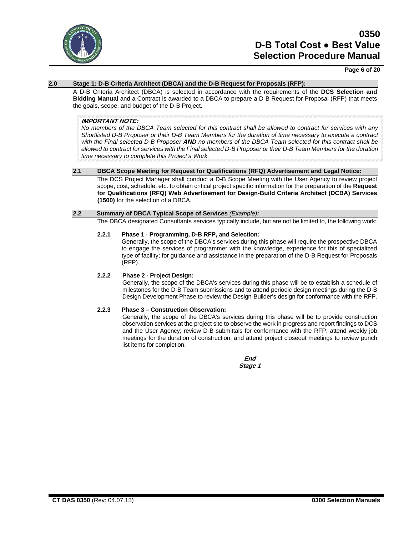

#### **Page 6 of 20**

### **2.0 Stage 1: D-B Criteria Architect (DBCA) and the D-B Request for Proposals (RFP):**

A D-B Criteria Architect (DBCA) is selected in accordance with the requirements of the **DCS Selection and Bidding Manual** and a Contract is awarded to a DBCA to prepare a D-B Request for Proposal (RFP) that meets the goals, scope, and budget of the D-B Project.

#### **IMPORTANT NOTE:**

*No members of the DBCA Team selected for this contract shall be allowed to contract for services with any Shortlisted D-B Proposer or their D-B Team Members for the duration of time necessary to execute a contract with the Final selected D-B Proposer AND no members of the DBCA Team selected for this contract shall be allowed to contract for services with the Final selected D-B Proposer or their D-B Team Members for the duration time necessary to complete this Project's Work.*

#### **2.1 DBCA Scope Meeting for Request for Qualifications (RFQ) Advertisement and Legal Notice:**

The DCS Project Manager shall conduct a D-B Scope Meeting with the User Agency to review project scope, cost, schedule, etc. to obtain critical project specific information for the preparation of the **Request for Qualifications (RFQ) Web Advertisement for Design-Build Criteria Architect (DCBA) Services (1500)** for the selection of a DBCA.

#### **2.2 Summary of DBCA Typical Scope of Services** *(Example):*

The DBCA designated Consultants services typically include, but are not be limited to, the following work:

## **2.2.1 Phase 1** - **Programming, D-B RFP, and Selection:**

Generally, the scope of the DBCA's services during this phase will require the prospective DBCA to engage the services of programmer with the knowledge, experience for this of specialized type of facility; for guidance and assistance in the preparation of the D-B Request for Proposals (RFP).

## **2.2.2 Phase 2 - Project Design:**

Generally, the scope of the DBCA's services during this phase will be to establish a schedule of milestones for the D-B Team submissions and to attend periodic design meetings during the D-B Design Development Phase to review the Design-Builder's design for conformance with the RFP.

## **2.2.3 Phase 3 – Construction Observation:**

Generally, the scope of the DBCA's services during this phase will be to provide construction observation services at the project site to observe the work in progress and report findings to DCS and the User Agency; review D-B submittals for conformance with the RFP; attend weekly job meetings for the duration of construction; and attend project closeout meetings to review punch list items for completion.

> **End Stage 1**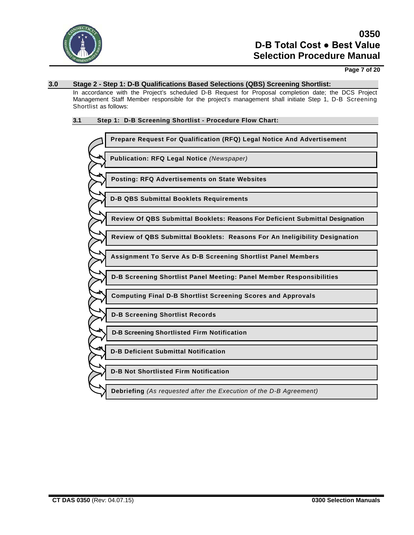

## **Page 7 of 20**

#### **3.0 Stage 2 - Step 1: D-B Qualifications Based Selections (QBS) Screening Shortlist:**

In accordance with the Project's scheduled D-B Request for Proposal completion date; the DCS Project Management Staff Member responsible for the project's management shall initiate Step 1, D-B Screening Shortlist as follows:

## **3.1 Step 1: D-B Screening Shortlist - Procedure Flow Chart:**

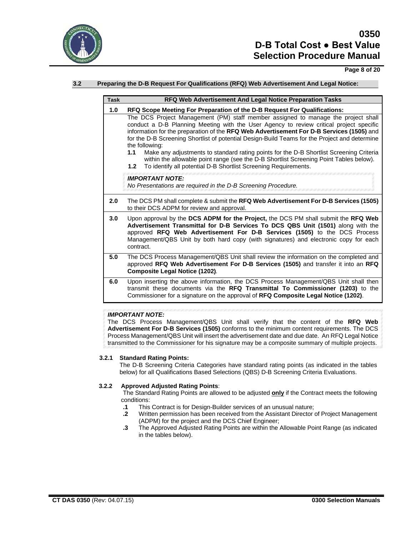

## **Page 8 of 20**

## **3.2 Preparing the D-B Request For Qualifications (RFQ) Web Advertisement And Legal Notice:**

| <b>Task</b> | RFQ Web Advertisement And Legal Notice Preparation Tasks                                                                                                                                                                                                                                                                                                                                                                                                                                                                                                                                                                                                          |
|-------------|-------------------------------------------------------------------------------------------------------------------------------------------------------------------------------------------------------------------------------------------------------------------------------------------------------------------------------------------------------------------------------------------------------------------------------------------------------------------------------------------------------------------------------------------------------------------------------------------------------------------------------------------------------------------|
| 1.0         | RFQ Scope Meeting For Preparation of the D-B Request For Qualifications:                                                                                                                                                                                                                                                                                                                                                                                                                                                                                                                                                                                          |
|             | The DCS Project Management (PM) staff member assigned to manage the project shall<br>conduct a D-B Planning Meeting with the User Agency to review critical project specific<br>information for the preparation of the RFQ Web Advertisement For D-B Services (1505) and<br>for the D-B Screening Shortlist of potential Design-Build Teams for the Project and determine<br>the following:<br>Make any adjustments to standard rating points for the D-B Shortlist Screening Criteria<br>1.1<br>within the allowable point range (see the D-B Shortlist Screening Point Tables below).<br>To identify all potential D-B Shortlist Screening Requirements.<br>1.2 |
|             | <b>IMPORTANT NOTE:</b><br>No Presentations are required in the D-B Screening Procedure.                                                                                                                                                                                                                                                                                                                                                                                                                                                                                                                                                                           |
| 2.0         | The DCS PM shall complete & submit the RFQ Web Advertisement For D-B Services (1505)<br>to their DCS ADPM for review and approval.                                                                                                                                                                                                                                                                                                                                                                                                                                                                                                                                |
| 3.0         | Upon approval by the DCS ADPM for the Project, the DCS PM shall submit the RFQ Web<br>Advertisement Transmittal for D-B Services To DCS QBS Unit (1501) along with the<br>approved RFQ Web Advertisement For D-B Services (1505) to the DCS Process<br>Management/QBS Unit by both hard copy (with signatures) and electronic copy for each<br>contract.                                                                                                                                                                                                                                                                                                          |
| 5.0         | The DCS Process Management/QBS Unit shall review the information on the completed and<br>approved RFQ Web Advertisement For D-B Services (1505) and transfer it into an RFQ<br><b>Composite Legal Notice (1202).</b>                                                                                                                                                                                                                                                                                                                                                                                                                                              |
| 6.0         | Upon inserting the above information, the DCS Process Management/QBS Unit shall then<br>transmit these documents via the RFQ Transmittal To Commissioner (1203) to the<br>Commissioner for a signature on the approval of RFQ Composite Legal Notice (1202).                                                                                                                                                                                                                                                                                                                                                                                                      |

#### *IMPORTANT NOTE:*

The DCS Process Management/QBS Unit shall verify that the content of the **RFQ Web Advertisement For D-B Services (1505)** conforms to the minimum content requirements. The DCS Process Management/QBS Unit will insert the advertisement date and due date. An RFQ Legal Notice transmitted to the Commissioner for his signature may be a composite summary of multiple projects.

#### **3.2.1 Standard Rating Points:**

The D-B Screening Criteria Categories have standard rating points (as indicated in the tables below) for all Qualifications Based Selections (QBS) D-B Screening Criteria Evaluations.

#### **3.2.2 Approved Adjusted Rating Points**:

The Standard Rating Points are allowed to be adjusted **only** if the Contract meets the following conditions:<br>1. This

- **.1** This Contract is for Design-Builder services of an unusual nature;
- **.2** Written permission has been received from the Assistant Director of Project Management (ADPM) for the project and the DCS Chief Engineer;
- **.3** The Approved Adjusted Rating Points are within the Allowable Point Range (as indicated in the tables below).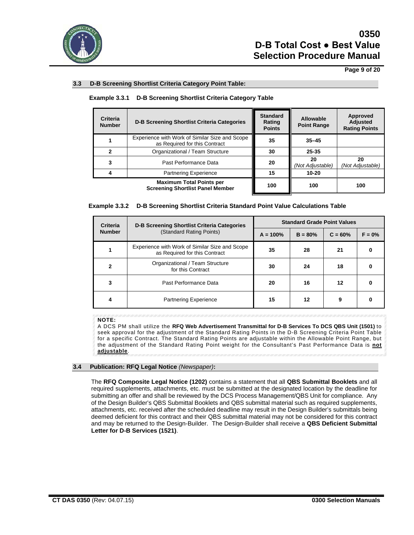

## **Page 9 of 20**

### **3.3 D-B Screening Shortlist Criteria Category Point Table:**

# **Example 3.3.1 D-B Screening Shortlist Criteria Category Table**

| <b>Criteria</b><br><b>Number</b> | <b>D-B Screening Shortlist Criteria Categories</b>                              | <b>Standard</b><br>Rating<br><b>Points</b> | Allowable<br><b>Point Range</b> | Approved<br><b>Adjusted</b><br><b>Rating Points</b> |
|----------------------------------|---------------------------------------------------------------------------------|--------------------------------------------|---------------------------------|-----------------------------------------------------|
|                                  | Experience with Work of Similar Size and Scope<br>as Required for this Contract | 35                                         | $35 - 45$                       |                                                     |
|                                  | Organizational / Team Structure                                                 | 30                                         | 25-35                           |                                                     |
|                                  | Past Performance Data                                                           | 20                                         | 20<br>(Not Adjustable)          | 20<br>(Not Adjustable)                              |
|                                  | <b>Partnering Experience</b>                                                    | 15                                         | $10 - 20$                       |                                                     |
|                                  | <b>Maximum Total Points per</b><br><b>Screening Shortlist Panel Member</b>      | 100                                        | 100                             | 100                                                 |

|  |  |  |  | Example 3.3.2  D-B Screening Shortlist Criteria Standard Point Value Calculations Table |  |
|--|--|--|--|-----------------------------------------------------------------------------------------|--|
|--|--|--|--|-----------------------------------------------------------------------------------------|--|

| Criteria      | <b>D-B Screening Shortlist Criteria Categories</b><br>(Standard Rating Points)  | <b>Standard Grade Point Values</b> |           |           |          |
|---------------|---------------------------------------------------------------------------------|------------------------------------|-----------|-----------|----------|
| <b>Number</b> |                                                                                 | $A = 100%$                         | $B = 80%$ | $C = 60%$ | $F = 0%$ |
|               | Experience with Work of Similar Size and Scope<br>as Required for this Contract | 35                                 | 28        | 21        |          |
| 2             | Organizational / Team Structure<br>for this Contract                            | 30                                 | 24        | 18        |          |
| 3             | Past Performance Data                                                           | 20                                 | 16        | 12        |          |
|               | <b>Partnering Experience</b>                                                    | 15                                 | 12        | 9         |          |

## **NOTE:**

A DCS PM shall utilize the **RFQ Web Advertisement Transmittal for D-B Services To DCS QBS Unit (1501)** to seek approval for the adjustment of the Standard Rating Points in the D-B Screening Criteria Point Table for a specific Contract. The Standard Rating Points are adjustable within the Allowable Point Range, but the adjustment of the Standard Rating Point weight for the Consultant's Past Performance Data is **not adjustable**.

#### **3.4 Publication: RFQ Legal Notice** *(Newspaper)***:**

The **RFQ Composite Legal Notice (1202)** contains a statement that all **QBS Submittal Booklets** and all required supplements, attachments, etc. must be submitted at the designated location by the deadline for submitting an offer and shall be reviewed by the DCS Process Management/QBS Unit for compliance. Any of the Design Builder's QBS Submittal Booklets and QBS submittal material such as required supplements, attachments, etc. received after the scheduled deadline may result in the Design Builder's submittals being deemed deficient for this contract and their QBS submittal material may not be considered for this contract and may be returned to the Design-Builder. The Design-Builder shall receive a **QBS Deficient Submittal Letter for D-B Services (1521)**.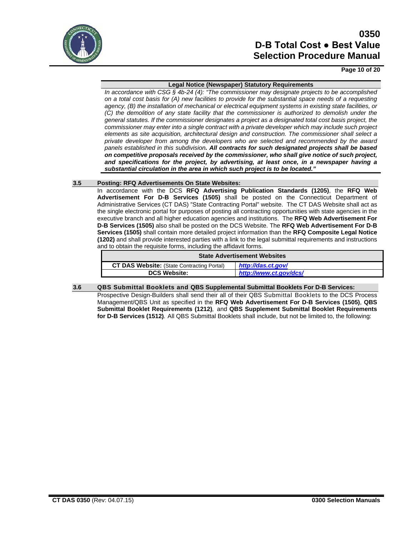

### **Page 10 of 20**

#### **Legal Notice (Newspaper) Statutory Requirements**

*In accordance with CSG § 4b-24 (4): "The commissioner may designate projects to be accomplished on a total cost basis for (A) new facilities to provide for the substantial space needs of a requesting agency, (B) the installation of mechanical or electrical equipment systems in existing state facilities, or (C) the demolition of any state facility that the commissioner is authorized to demolish under the general statutes. If the commissioner designates a project as a designated total cost basis project, the commissioner may enter into a single contract with a private developer which may include such project elements as site acquisition, architectural design and construction. The commissioner shall select a private developer from among the developers who are selected and recommended by the award panels established in this subdivision. All contracts for such designated projects shall be based on competitive proposals received by the commissioner, who shall give notice of such project, and specifications for the project, by advertising, at least once, in a newspaper having a substantial circulation in the area in which such project is to be located."*

#### **3.5 Posting: RFQ Advertisements On State Websites:**

In accordance with the DCS **RFQ Advertising Publication Standards (1205)**, the **RFQ Web Advertisement For D-B Services (1505)** shall be posted on the Connecticut Department of Administrative Services (CT DAS) "State Contracting Portal" website. The CT DAS Website shall act as the single electronic portal for purposes of posting all contracting opportunities with state agencies in the executive branch and all higher education agencies and institutions. The **RFQ Web Advertisement For D-B Services (1505)** also shall be posted on the DCS Website. The **RFQ Web Advertisement For D-B Services (1505)** shall contain more detailed project information than the **RFQ Composite Legal Notice (1202)** and shall provide interested parties with a link to the legal submittal requirements and instructions and to obtain the requisite forms, including the affidavit forms.

| <b>State Advertisement Websites</b>               |                        |  |
|---------------------------------------------------|------------------------|--|
| <b>CT DAS Website:</b> (State Contracting Portal) | http://das.ct.gov/     |  |
| <b>DCS Website:</b>                               | http://www.ct.gov/dcs/ |  |
|                                                   |                        |  |

#### **3.6 QBS Submittal Booklets and QBS Supplemental Submittal Booklets For D-B Services:**

Prospective Design-Builders shall send their all of their QBS Submittal Booklets to the DCS Process Management/QBS Unit as specified in the **RFQ Web Advertisement For D-B Services (1505)**, **QBS Submittal Booklet Requirements (1212)***,* and **QBS Supplement Submittal Booklet Requirements for D-B Services (1512)***.* All QBS Submittal Booklets shall include, but not be limited to, the following: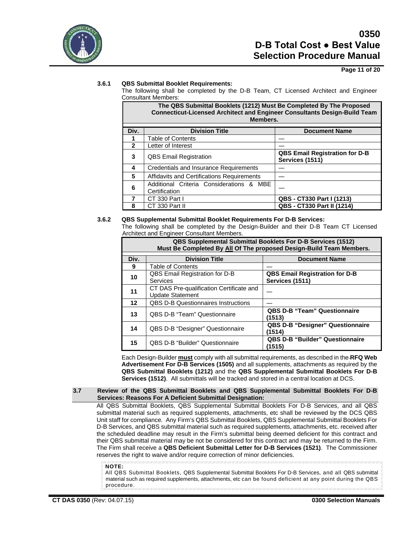

## **Page 11 of 20**

### **3.6.1 QBS Submittal Booklet Requirements:**

The following shall be completed by the D-B Team, CT Licensed Architect and Engineer Consultant Members:

|              | The QBS Submittal Booklets (1212) Must Be Completed By The Proposed<br><b>Connecticut-Licensed Architect and Engineer Consultants Design-Build Team</b><br>Members. |                                                          |  |  |
|--------------|---------------------------------------------------------------------------------------------------------------------------------------------------------------------|----------------------------------------------------------|--|--|
| Div.         | <b>Division Title</b>                                                                                                                                               | <b>Document Name</b>                                     |  |  |
|              | <b>Table of Contents</b>                                                                                                                                            |                                                          |  |  |
| $\mathbf{2}$ | Letter of Interest                                                                                                                                                  |                                                          |  |  |
| 3            | <b>QBS Email Registration</b>                                                                                                                                       | <b>QBS Email Registration for D-B</b><br>Services (1511) |  |  |
| 4            | <b>Credentials and Insurance Requirements</b>                                                                                                                       |                                                          |  |  |
| 5            | Affidavits and Certifications Requirements                                                                                                                          |                                                          |  |  |
| 6            | Additional Criteria Considerations & MBE<br>Certification                                                                                                           |                                                          |  |  |
|              | CT 330 Part I                                                                                                                                                       | <b>QBS - CT330 Part I (1213)</b>                         |  |  |
| 8            | CT 330 Part II                                                                                                                                                      | <b>QBS - CT330 Part II (1214)</b>                        |  |  |

#### **3.6.2 QBS Supplemental Submittal Booklet Requirements For D-B Services:**

The following shall be completed by the Design-Builder and their D-B Team CT Licensed Architect and Engineer Consultant Members.

| <b>QBS Supplemental Submittal Booklets For D-B Services (1512)</b><br>Must Be Completed By All Of The proposed Design-Build Team Members. |                                                                     |                                                          |  |  |
|-------------------------------------------------------------------------------------------------------------------------------------------|---------------------------------------------------------------------|----------------------------------------------------------|--|--|
| Div.                                                                                                                                      | <b>Division Title</b>                                               | <b>Document Name</b>                                     |  |  |
| 9                                                                                                                                         | Table of Contents                                                   |                                                          |  |  |
| 10                                                                                                                                        | QBS Email Registration for D-B<br><b>Services</b>                   | <b>QBS Email Registration for D-B</b><br>Services (1511) |  |  |
| 11                                                                                                                                        | CT DAS Pre-qualification Certificate and<br><b>Update Statement</b> |                                                          |  |  |
| 12                                                                                                                                        | <b>QBS D-B Questionnaires Instructions</b>                          |                                                          |  |  |
| 13                                                                                                                                        | <b>QBS D-B "Team" Questionnaire</b>                                 | <b>QBS D-B "Team" Questionnaire</b><br>(1513)            |  |  |
| 14                                                                                                                                        | <b>QBS D-B "Designer" Questionnaire</b>                             | <b>QBS D-B "Designer" Questionnaire</b><br>(1514)        |  |  |
| 15                                                                                                                                        | <b>QBS D-B "Builder" Questionnaire</b>                              | <b>QBS D-B "Builder" Questionnaire</b><br>(1515)         |  |  |

Each Design-Builder **must** comply with all submittal requirements, as described in the **RFQ Web Advertisement For D-B Services (1505)** and all supplements, attachments as required by the **QBS Submittal Booklets (1212)** and the **QBS Supplemental Submittal Booklets For D-B Services (1512)**. All submittals will be tracked and stored in a central location at DCS.

#### **3.7 Review of the QBS Submittal Booklets and QBS Supplemental Submittal Booklets For D-B Services: Reasons For A Deficient Submittal Designation:**

All QBS Submittal Booklets, QBS Supplemental Submittal Booklets For D-B Services, and all QBS submittal material such as required supplements, attachments, etc shall be reviewed by the DCS QBS Unit staff for compliance*.* Any Firm's QBS Submittal Booklets, QBS Supplemental Submittal Booklets For D-B Services, and QBS submittal material such as required supplements, attachments, etc. received after the scheduled deadline may result in the Firm's submittal being deemed deficient for this contract and their QBS submittal material may be not be considered for this contract and may be returned to the Firm. The Firm shall receive a **QBS Deficient Submittal Letter for D-B Services (1521)**. The Commissioner reserves the right to waive and/or require correction of minor deficiencies.

**NOTE:**

All QBS Submittal Booklets, QBS Supplemental Submittal Booklets For D-B Services, and all QBS submittal material such as required supplements, attachments, etc can be found deficient at any point during the QBS procedure.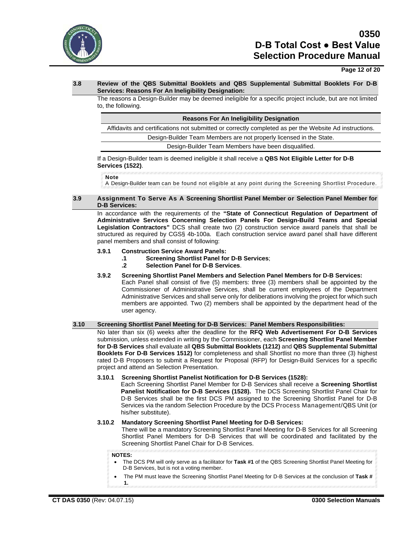

**Page 12 of 20**

### **3.8 Review of the QBS Submittal Booklets and QBS Supplemental Submittal Booklets For D-B Services: Reasons For An Ineligibility Designation:**

The reasons a Design-Builder may be deemed ineligible for a specific project include, but are not limited to, the following.

**Reasons For An Ineligibility Designation**

Affidavits and certifications not submitted or correctly completed as per the Website Ad instructions.

Design-Builder Team Members are not properly licensed in the State.

Design-Builder Team Members have been disqualified.

#### If a Design-Builder team is deemed ineligible it shall receive a **QBS Not Eligible Letter for D-B Services (1522)**.

**Note** 

A Design-Builder team can be found not eligible at any point during the Screening Shortlist Procedure.

#### **3.9 Assignment To Serve As A Screening Shortlist Panel Member or Selection Panel Member for D-B Services:**

In accordance with the requirements of the **"State of Connecticut Regulation of Department of Administrative Services Concerning Selection Panels For Design-Build Teams and Special Legislation Contractors"** DCS shall create two (2) construction service award panels that shall be structured as required by CGS§ 4b-100a. Each construction service award panel shall have different panel members and shall consist of following:

#### **3.9.1 Construction Service Award Panels:**

- **.1 Screening Shortlist Panel for D-B Services**;
- **.2 Selection Panel for D-B Services**.
- **3.9.2 Screening Shortlist Panel Members and Selection Panel Members for D-B Services:**

Each Panel shall consist of five (5) members: three (3) members shall be appointed by the Commissioner of Administrative Services, shall be current employees of the Department Administrative Services and shall serve only for deliberations involving the project for which such members are appointed. Two (2) members shall be appointed by the department head of the user agency.

#### **3.10 Screening Shortlist Panel Meeting for D-B Services: Panel Members Responsibilities:**

No later than six (6) weeks after the deadline for the **RFQ Web Advertisement For D-B Services** submission, unless extended in writing by the Commissioner, each **Screening Shortlist Panel Member for D-B Services** shall evaluate all **QBS Submittal Booklets (1212)** and **QBS Supplemental Submittal Booklets For D-B Services 1512)** for completeness and shall Shortlist no more than three (3) highest rated D-B Proposers to submit a Request for Proposal (RFP) for Design-Build Services for a specific project and attend an Selection Presentation.

**3.10.1 Screening Shortlist Panelist Notification for D-B Services (1528):**

Each Screening Shortlist Panel Member for D-B Services shall receive a **Screening Shortlist Panelist Notification for D-B Services (1528).**The DCS Screening Shortlist Panel Chair for D-B Services shall be the first DCS PM assigned to the Screening Shortlist Panel for D-B Services via the random Selection Procedure by the DCS Process Management/QBS Unit (or his/her substitute).

#### **3.10.2 Mandatory Screening Shortlist Panel Meeting for D-B Services:**

There will be a mandatory Screening Shortlist Panel Meeting for D-B Services for all Screening Shortlist Panel Members for D-B Services that will be coordinated and facilitated by the Screening Shortlist Panel Chair for D-B Services.

#### **NOTES:**

- The DCS PM will only serve as a facilitator for **Task #1** of the QBS Screening Shortlist Panel Meeting for D-B Services, but is not a voting member.
- The PM must leave the Screening Shortlist Panel Meeting for D-B Services at the conclusion of **Task # 1.**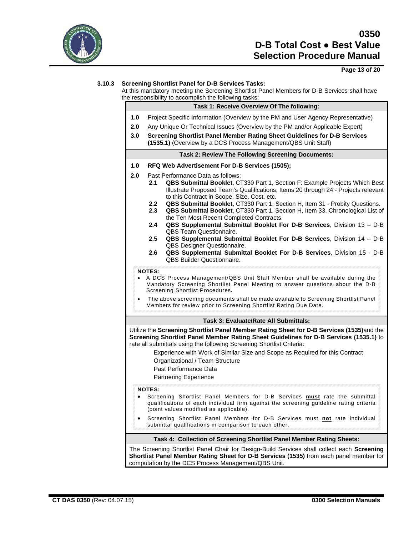

## **Page 13 of 20**

## **3.10.3 Screening Shortlist Panel for D-B Services Tasks:**

At this mandatory meeting the Screening Shortlist Panel Members for D-B Services shall have the responsibility to accomplish the following tasks: the responsibility to accomplish the following tasks:

|                                                                                                                                                                                                                      | e responsibility to accomplish the following tasks:                                                                                                                                                                                                                                                                                                                                                                                                                                                                                                                                                                                                                                                                                                                                                                                                                                                                                                                                                                                                                                                                                                                 |  |  |
|----------------------------------------------------------------------------------------------------------------------------------------------------------------------------------------------------------------------|---------------------------------------------------------------------------------------------------------------------------------------------------------------------------------------------------------------------------------------------------------------------------------------------------------------------------------------------------------------------------------------------------------------------------------------------------------------------------------------------------------------------------------------------------------------------------------------------------------------------------------------------------------------------------------------------------------------------------------------------------------------------------------------------------------------------------------------------------------------------------------------------------------------------------------------------------------------------------------------------------------------------------------------------------------------------------------------------------------------------------------------------------------------------|--|--|
|                                                                                                                                                                                                                      | Task 1: Receive Overview Of The following:                                                                                                                                                                                                                                                                                                                                                                                                                                                                                                                                                                                                                                                                                                                                                                                                                                                                                                                                                                                                                                                                                                                          |  |  |
| 1.0                                                                                                                                                                                                                  | Project Specific Information (Overview by the PM and User Agency Representative)                                                                                                                                                                                                                                                                                                                                                                                                                                                                                                                                                                                                                                                                                                                                                                                                                                                                                                                                                                                                                                                                                    |  |  |
| 2.0                                                                                                                                                                                                                  | Any Unique Or Technical Issues (Overview by the PM and/or Applicable Expert)                                                                                                                                                                                                                                                                                                                                                                                                                                                                                                                                                                                                                                                                                                                                                                                                                                                                                                                                                                                                                                                                                        |  |  |
| 3.0                                                                                                                                                                                                                  | Screening Shortlist Panel Member Rating Sheet Guidelines for D-B Services<br>(1535.1) (Overview by a DCS Process Management/QBS Unit Staff)                                                                                                                                                                                                                                                                                                                                                                                                                                                                                                                                                                                                                                                                                                                                                                                                                                                                                                                                                                                                                         |  |  |
|                                                                                                                                                                                                                      | <b>Task 2: Review The Following Screening Documents:</b>                                                                                                                                                                                                                                                                                                                                                                                                                                                                                                                                                                                                                                                                                                                                                                                                                                                                                                                                                                                                                                                                                                            |  |  |
| 1.0                                                                                                                                                                                                                  | RFQ Web Advertisement For D-B Services (1505);                                                                                                                                                                                                                                                                                                                                                                                                                                                                                                                                                                                                                                                                                                                                                                                                                                                                                                                                                                                                                                                                                                                      |  |  |
| 2.0                                                                                                                                                                                                                  | Past Performance Data as follows:<br>QBS Submittal Booklet, CT330 Part 1, Section F: Example Projects Which Best<br>2.1<br>Illustrate Proposed Team's Qualifications, Items 20 through 24 - Projects relevant<br>to this Contract in Scope, Size, Cost, etc.<br>QBS Submittal Booklet, CT330 Part 1, Section H, Item 31 - Probity Questions.<br>$2.2^{\circ}$<br>2.3<br>QBS Submittal Booklet, CT330 Part 1, Section H, Item 33. Chronological List of<br>the Ten Most Recent Completed Contracts.<br>2.4<br>QBS Supplemental Submittal Booklet For D-B Services, Division 13 - D-B<br>QBS Team Questionnaire.<br>2.5<br>QBS Supplemental Submittal Booklet For D-B Services, Division 14 - D-B<br>QBS Designer Questionnaire.<br>QBS Supplemental Submittal Booklet For D-B Services, Division 15 - D-B<br>$2.6\,$<br><b>QBS Builder Questionnaire.</b><br><b>NOTES:</b><br>A DCS Process Management/QBS Unit Staff Member shall be available during the<br>Mandatory Screening Shortlist Panel Meeting to answer questions about the D-B<br>Screening Shortlist Procedures.<br>The above screening documents shall be made available to Screening Shortlist Panel |  |  |
|                                                                                                                                                                                                                      | Members for review prior to Screening Shortlist Rating Due Date.                                                                                                                                                                                                                                                                                                                                                                                                                                                                                                                                                                                                                                                                                                                                                                                                                                                                                                                                                                                                                                                                                                    |  |  |
|                                                                                                                                                                                                                      | <b>Task 3: Evaluate/Rate All Submittals:</b>                                                                                                                                                                                                                                                                                                                                                                                                                                                                                                                                                                                                                                                                                                                                                                                                                                                                                                                                                                                                                                                                                                                        |  |  |
|                                                                                                                                                                                                                      | Utilize the Screening Shortlist Panel Member Rating Sheet for D-B Services (1535)and the<br>Screening Shortlist Panel Member Rating Sheet Guidelines for D-B Services (1535.1) to<br>rate all submittals using the following Screening Shortlist Criteria:<br>Experience with Work of Similar Size and Scope as Required for this Contract<br>Organizational / Team Structure<br>Past Performance Data<br><b>Partnering Experience</b><br><b>NOTES:</b><br>Screening Shortlist Panel Members for D-B Services must rate the submittal                                                                                                                                                                                                                                                                                                                                                                                                                                                                                                                                                                                                                               |  |  |
| qualifications of each individual firm against the screening guideline rating criteria<br>(point values modified as applicable).<br>Screening Shortlist Panel Members for D-B Services must not rate individual<br>٠ |                                                                                                                                                                                                                                                                                                                                                                                                                                                                                                                                                                                                                                                                                                                                                                                                                                                                                                                                                                                                                                                                                                                                                                     |  |  |
|                                                                                                                                                                                                                      | submittal qualifications in comparison to each other.                                                                                                                                                                                                                                                                                                                                                                                                                                                                                                                                                                                                                                                                                                                                                                                                                                                                                                                                                                                                                                                                                                               |  |  |
|                                                                                                                                                                                                                      | Task 4: Collection of Screening Shortlist Panel Member Rating Sheets:                                                                                                                                                                                                                                                                                                                                                                                                                                                                                                                                                                                                                                                                                                                                                                                                                                                                                                                                                                                                                                                                                               |  |  |
|                                                                                                                                                                                                                      | The Screening Shortlist Panel Chair for Design-Build Services shall collect each Screening<br>Shortlist Panel Member Rating Sheet for D-B Services (1535) from each panel member for                                                                                                                                                                                                                                                                                                                                                                                                                                                                                                                                                                                                                                                                                                                                                                                                                                                                                                                                                                                |  |  |

computation by the DCS Process Management/QBS Unit.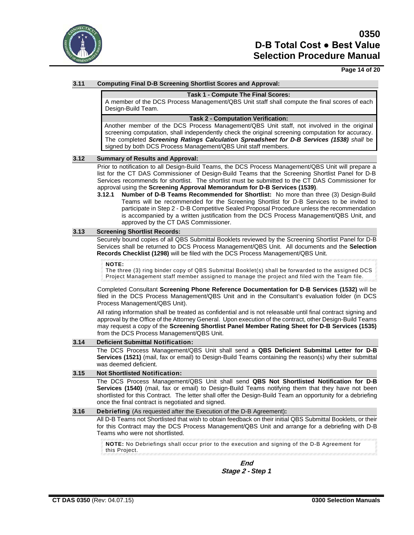

### **Page 14 of 20**

### **3.11 Computing Final D-B Screening Shortlist Scores and Approval:**

#### **Task 1 - Compute The Final Scores:**

A member of the DCS Process Management/QBS Unit staff shall compute the final scores of each Design-Build Team.

#### **Task 2 - Computation Verification:**

Another member of the DCS Process Management/QBS Unit staff, not involved in the original screening computation, shall independently check the original screening computation for accuracy. The completed *Screening Ratings Calculation Spreadsheet for D-B Services (1538) shall* be signed by both DCS Process Management/QBS Unit staff members.

#### **3.12 Summary of Results and Approval:**

Prior to notification to all Design-Build Teams, the DCS Process Management/QBS Unit will prepare a list for the CT DAS Commissioner of Design-Build Teams that the Screening Shortlist Panel for D-B Services recommends for shortlist. The shortlist must be submitted to the CT DAS Commissioner for approval using the **Screening Approval Memorandum for D-B Services (1539)**.

**3.12.1 Number of D-B Teams Recommended for Shortlist:** No more than three (3) Design-Build Teams will be recommended for the Screening Shortlist for D-B Services to be invited to participate in Step 2 - D-B Competitive Sealed Proposal Procedure unless the recommendation is accompanied by a written justification from the DCS Process Management/QBS Unit, and approved by the CT DAS Commissioner.

#### **3.13 Screening Shortlist Records:**

Securely bound copies of all QBS Submittal Booklets reviewed by the Screening Shortlist Panel for D-B Services shall be returned to DCS Process Management/QBS Unit. All documents and the **Selection Records Checklist (1298)** will be filed with the DCS Process Management/QBS Unit.

#### **NOTE:**

The three (3) ring binder copy of QBS Submittal Booklet(s) shall be forwarded to the assigned DCS Project Management staff member assigned to manage the project and filed with the Team file.

Completed Consultant **Screening Phone Reference Documentation for D-B Services (1532)** will be filed in the DCS Process Management/QBS Unit and in the Consultant's evaluation folder (in DCS Process Management/QBS Unit).

All rating information shall be treated as confidential and is not releasable until final contract signing and approval by the Office of the Attorney General. Upon execution of the contract, other Design-Build Teams may request a copy of the **Screening Shortlist Panel Member Rating Sheet for D-B Services (1535)** from the DCS Process Management/QBS Unit.

#### **3.14 Deficient Submittal Notification:**

The DCS Process Management/QBS Unit shall send a **QBS Deficient Submittal Letter for D-B Services (1521)** (mail, fax or email) to Design-Build Teams containing the reason(s) why their submittal was deemed deficient.

#### **3.15 Not Shortlisted Notification:**

The DCS Process Management/QBS Unit shall send **QBS Not Shortlisted Notification for D-B Services (1540)** (mail, fax or email) to Design-Build Teams notifying them that they have not been shortlisted for this Contract. The letter shall offer the Design-Build Team an opportunity for a debriefing once the final contract is negotiated and signed.

#### **3.16 Debriefing** (As requested after the Execution of the D-B Agreement)**:**

All D-B Teams not Shortlisted that wish to obtain feedback on their initial QBS Submittal Booklets, or their for this Contract may the DCS Process Management/QBS Unit and arrange for a debriefing with D-B Teams who were not shortlisted.

**NOTE:** No Debriefings shall occur prior to the execution and signing of the D-B Agreement for this Project.

**End Stage 2 -** *Step 1*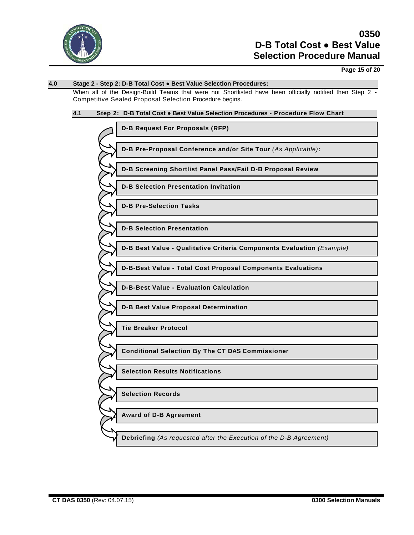

## **Page 15 of 20**

# **4.0 Stage 2 - Step 2: D-B Total Cost ● Best Value Selection Procedures:** When all of the Design-Build Teams that were not Shortlisted have been officially notified then Step 2 -Competitive Sealed Proposal Selection Procedure begins. **4.1 Step 2: D-B Total Cost ● Best Value Selection Procedures - Procedure Flow Chart**

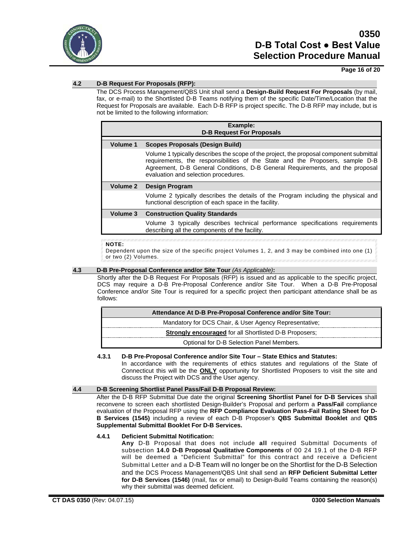

## **Page 16 of 20**

## **4.2 D-B Request For Proposals (RFP):**

The DCS Process Management/QBS Unit shall send a **Design-Build Request For Proposals** (by mail, fax, or e-mail) to the Shortlisted D-B Teams notifying them of the specific Date/Time/Location that the Request for Proposals are available. Each D-B RFP is project specific. The D-B RFP may include, but is not be limited to the following information:

| Example:<br><b>D-B Request For Proposals</b> |                                                                                                                                                                                                                                                                                                   |  |  |  |  |
|----------------------------------------------|---------------------------------------------------------------------------------------------------------------------------------------------------------------------------------------------------------------------------------------------------------------------------------------------------|--|--|--|--|
| Volume 1                                     | Scopes Proposals (Design Build)                                                                                                                                                                                                                                                                   |  |  |  |  |
|                                              | Volume 1 typically describes the scope of the project, the proposal component submittal<br>requirements, the responsibilities of the State and the Proposers, sample D-B<br>Agreement, D-B General Conditions, D-B General Requirements, and the proposal<br>evaluation and selection procedures. |  |  |  |  |
| Volume 2                                     | <b>Design Program</b>                                                                                                                                                                                                                                                                             |  |  |  |  |
|                                              | Volume 2 typically describes the details of the Program including the physical and<br>functional description of each space in the facility.                                                                                                                                                       |  |  |  |  |
| Volume 3                                     | <b>Construction Quality Standards</b>                                                                                                                                                                                                                                                             |  |  |  |  |
|                                              | Volume 3 typically describes technical performance specifications requirements<br>describing all the components of the facility.                                                                                                                                                                  |  |  |  |  |

#### **NOTE:**

Dependent upon the size of the specific project Volumes 1, 2, and 3 may be combined into one (1) or two (2) Volumes.

## **4.3 D-B Pre-Proposal Conference and/or Site Tour** *(As Applicable)***:**

Shortly after the D-B Request For Proposals (RFP) is issued and as applicable to the specific project, DCS may require a D-B Pre-Proposal Conference and/or Site Tour. When a D-B Pre-Proposal Conference and/or Site Tour is required for a specific project then participant attendance shall be as follows:

| Attendance At D-B Pre-Proposal Conference and/or Site Tour:   |  |  |
|---------------------------------------------------------------|--|--|
| Mandatory for DCS Chair, & User Agency Representative;        |  |  |
| <b>Strongly encouraged</b> for all Shortlisted D-B Proposers; |  |  |
| Optional for D-B Selection Panel Members.                     |  |  |

#### **4.3.1 D-B Pre-Proposal Conference and/or Site Tour – State Ethics and Statutes:**

In accordance with the requirements of ethics statutes and regulations of the State of Connecticut this will be the **ONLY** opportunity for Shortlisted Proposers to visit the site and discuss the Project with DCS and the User agency.

### **4.4 D-B Screening Shortlist Panel Pass/Fail D-B Proposal Review:**

After the D-B RFP Submittal Due date the original **Screening Shortlist Panel for D-B Services** shall reconvene to screen each shortlisted Design-Builder's Proposal and perform a **Pass/Fail** compliance evaluation of the Proposal RFP using the **RFP Compliance Evaluation Pass-Fail Rating Sheet for D-B Services (1545)** including a review of each D-B Proposer's **QBS Submittal Booklet** and **QBS Supplemental Submittal Booklet For D-B Services.**

#### **4.4.1 Deficient Submittal Notification:**

**Any** D-B Proposal that does not include **all** required Submittal Documents of subsection **14.0 D-B Proposal Qualitative Components** of 00 24 19.1 of the D-B RFP will be deemed a "Deficient Submittal" for this contract and receive a Deficient Submittal Letter and a D-B Team will no longer be on the Shortlist for the D-B Selection and the DCS Process Management/QBS Unit shall send an **RFP Deficient Submittal Letter for D-B Services (1546)** (mail, fax or email) to Design-Build Teams containing the reason(s) why their submittal was deemed deficient.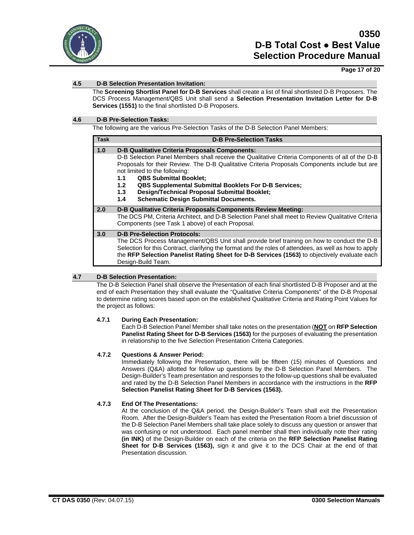

## **Page 17 of 20**

## **4.5 D-B Selection Presentation Invitation:**

The **Screening Shortlist Panel for D-B Services** shall create a list of final shortlisted D-B Proposers. The DCS Process Management/QBS Unit shall send a **Selection Presentation Invitation Letter for D-B Services (1551)** to the final shortlisted D-B Proposers.

## **4.6 D-B Pre-Selection Tasks:**

The following are the various Pre-Selection Tasks of the D-B Selection Panel Members:

| <b>Task</b> | <b>D-B Pre-Selection Tasks</b>                                                                                                                                                                                                                                                                                                                                                                                                                                                                                                              |  |  |
|-------------|---------------------------------------------------------------------------------------------------------------------------------------------------------------------------------------------------------------------------------------------------------------------------------------------------------------------------------------------------------------------------------------------------------------------------------------------------------------------------------------------------------------------------------------------|--|--|
| 1.0         | <b>D-B Qualitative Criteria Proposals Components:</b><br>D-B Selection Panel Members shall receive the Qualitative Criteria Components of all of the D-B<br>Proposals for their Review. The D-B Qualitative Criteria Proposals Components include but are<br>not limited to the following:<br><b>QBS Submittal Booklet:</b><br>1.1<br><b>QBS Supplemental Submittal Booklets For D-B Services;</b><br>1.2 <sub>1</sub><br><b>Design/Technical Proposal Submittal Booklet;</b><br>1.3<br><b>Schematic Design Submittal Documents.</b><br>1.4 |  |  |
| 2.0         | D-B Qualitative Criteria Proposals Components Review Meeting:<br>The DCS PM, Criteria Architect, and D-B Selection Panel shall meet to Review Qualitative Criteria<br>Components (see Task 1 above) of each Proposal.                                                                                                                                                                                                                                                                                                                       |  |  |
| 3.0         | <b>D-B Pre-Selection Protocols:</b><br>The DCS Process Management/QBS Unit shall provide brief training on how to conduct the D-B<br>Selection for this Contract, clarifying the format and the roles of attendees, as well as how to apply<br>the RFP Selection Panelist Rating Sheet for D-B Services (1563) to objectively evaluate each<br>Design-Build Team.                                                                                                                                                                           |  |  |

## **4.7 D-B Selection Presentation:**

The D-B Selection Panel shall observe the Presentation of each final shortlisted D-B Proposer and at the end of each Presentation they shall evaluate the "Qualitative Criteria Components" of the D-B Proposal to determine rating scores based upon on the established Qualitative Criteria and Rating Point Values for the project as follows:

#### **4.7.1 During Each Presentation:**

Each D-B Selection Panel Member shall take notes on the presentation (**NOT** on **RFP Selection Panelist Rating Sheet for D-B Services (1563)** for the purposes of evaluating the presentation in relationship to the five Selection Presentation Criteria Categories.

## **4.7.2 Questions & Answer Period:**

Immediately following the Presentation, there will be fifteen (15) minutes of Questions and Answers (Q&A) allotted for follow up questions by the D-B Selection Panel Members. The Design-Builder's Team presentation and responses to the follow-up questions shall be evaluated and rated by the D-B Selection Panel Members in accordance with the instructions in the **RFP Selection Panelist Rating Sheet for D-B Services (1563).**

## **4.7.3 End Of The Presentations:**

At the conclusion of the Q&A period, the Design-Builder's Team shall exit the Presentation Room. After the Design-Builder's Team has exited the Presentation Room a brief discussion of the D-B Selection Panel Members shall take place solely to discuss any question or answer that was confusing or not understood. Each panel member shall then individually note their rating **(in INK)** of the Design-Builder on each of the criteria on the **RFP Selection Panelist Rating Sheet for D-B Services (1563),** sign it and give it to the DCS Chair at the end of that Presentation discussion.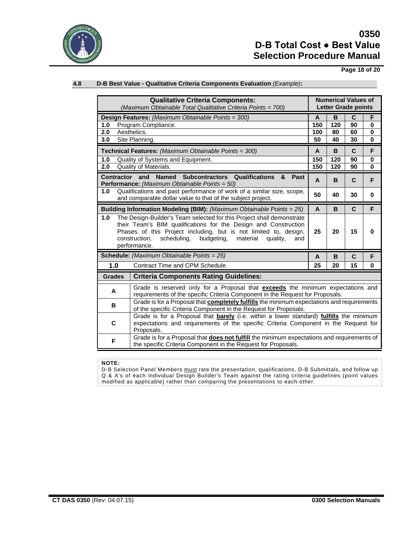

**Page 18 of 20**

## **4.8 D-B Best Value - Qualitative Criteria Components Evaluation** *(Example)***:**

| <b>Qualitative Criteria Components:</b><br>(Maximum Obtainable Total Qualitative Criteria Points = 700)                                                                                                                                                                                                          |               |                                                                                                                                                                                              | <b>Numerical Values of</b><br><b>Letter Grade points</b> |             |             |          |
|------------------------------------------------------------------------------------------------------------------------------------------------------------------------------------------------------------------------------------------------------------------------------------------------------------------|---------------|----------------------------------------------------------------------------------------------------------------------------------------------------------------------------------------------|----------------------------------------------------------|-------------|-------------|----------|
|                                                                                                                                                                                                                                                                                                                  |               |                                                                                                                                                                                              |                                                          |             |             |          |
| <b>Design Features:</b> (Maximum Obtainable Points = 300)                                                                                                                                                                                                                                                        |               | A                                                                                                                                                                                            | B                                                        | C           | F           |          |
| 1.0                                                                                                                                                                                                                                                                                                              |               | Program Compliance.                                                                                                                                                                          | 150                                                      | 120         | 90          | 0        |
| 2.0                                                                                                                                                                                                                                                                                                              |               | Aesthetics.                                                                                                                                                                                  | 100                                                      | 80          | 60          | 0        |
| 3.0                                                                                                                                                                                                                                                                                                              |               | Site Planning.                                                                                                                                                                               | 50                                                       | 40          | 30          | $\bf{0}$ |
| Technical Features: (Maximum Obtainable Points = 300)                                                                                                                                                                                                                                                            |               | A                                                                                                                                                                                            | B                                                        | $\mathbf C$ | F           |          |
| 1.0                                                                                                                                                                                                                                                                                                              |               | Quality of Systems and Equipment.                                                                                                                                                            | 150                                                      | 120         | 90          | 0        |
| 2.0                                                                                                                                                                                                                                                                                                              |               | Quality of Materials.                                                                                                                                                                        | 150                                                      | 120         | 90          | $\bf{0}$ |
| and<br>Named Subcontractors Qualifications<br><b>Contractor</b><br>&<br>Past<br>Performance: (Maximum Obtainable Points = 50)                                                                                                                                                                                    |               |                                                                                                                                                                                              | A                                                        | B           | $\mathbf C$ | F        |
| 1.0                                                                                                                                                                                                                                                                                                              |               | Qualifications and past performance of work of a similar size, scope,<br>and comparable dollar value to that of the subject project.                                                         | 50                                                       | 40          | 30          | 0        |
| Building Information Modeling (BIM): (Maximum Obtainable Points = 25)                                                                                                                                                                                                                                            |               |                                                                                                                                                                                              | A                                                        | B           | $\mathbf C$ | F        |
| The Design-Builder's Team selected for this Project shall demonstrate<br>1.0<br>their Team's BIM qualifications for the Design and Construction<br>Phases of this Project including, but is not limited to, design,<br>construction,<br>scheduling,<br>budgeting,<br>material<br>quality,<br>and<br>performance. |               |                                                                                                                                                                                              | 25                                                       | 20          | 15          | 0        |
| <b>Schedule:</b> (Maximum Obtainable Points = 25)                                                                                                                                                                                                                                                                |               | A                                                                                                                                                                                            | B                                                        | $\mathbf C$ | F           |          |
| 1.0<br>Contract Time and CPM Schedule.                                                                                                                                                                                                                                                                           |               | 25                                                                                                                                                                                           | 20                                                       | 15          | $\bf{0}$    |          |
|                                                                                                                                                                                                                                                                                                                  | <b>Grades</b> | <b>Criteria Components Rating Guidelines:</b>                                                                                                                                                |                                                          |             |             |          |
|                                                                                                                                                                                                                                                                                                                  | A             | Grade is reserved only for a Proposal that exceeds the minimum expectations and<br>requirements of the specific Criteria Component in the Request for Proposals.                             |                                                          |             |             |          |
|                                                                                                                                                                                                                                                                                                                  | в             | Grade is for a Proposal that <b>completely fulfills</b> the minimum expectations and requirements<br>of the specific Criteria Component in the Request for Proposals.                        |                                                          |             |             |          |
|                                                                                                                                                                                                                                                                                                                  | С             | Grade is for a Proposal that barely (i.e. within a lower standard) fulfills the minimum<br>expectations and requirements of the specific Criteria Component in the Request for<br>Proposals. |                                                          |             |             |          |
| F                                                                                                                                                                                                                                                                                                                |               | Grade is for a Proposal that <b>does not fulfill</b> the minimum expectations and requirements of<br>the specific Criteria Component in the Request for Proposals.                           |                                                          |             |             |          |

#### **NOTE:**

D-B Selection Panel Members <u>must</u> rate the presentation, qualifications, D-B Submittals, and follow up Q & A's of each individual Design Builder's Team against the rating criteria guidelines (point values modified as applicable) rather than comparing the presentations to each other.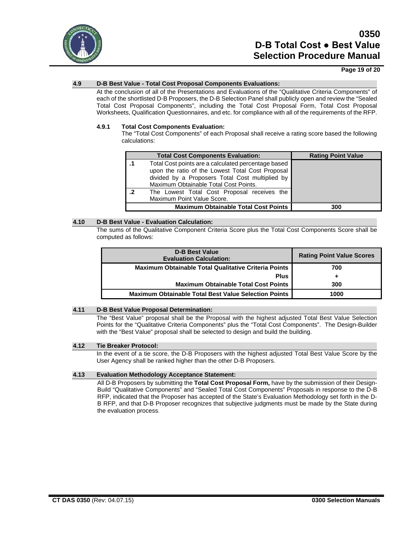

## **Page 19 of 20**

## **4.9 D-B Best Value - Total Cost Proposal Components Evaluations:**

At the conclusion of all of the Presentations and Evaluations of the "Qualitative Criteria Components" of each of the shortlisted D-B Proposers, the D-B Selection Panel shall publicly open and review the "Sealed Total Cost Proposal Components", including the Total Cost Proposal Form, Total Cost Proposal Worksheets, Qualification Questionnaires, and etc. for compliance with all of the requirements of the RFP.

#### **4.9.1 Total Cost Components Evaluation:**

The "Total Cost Components" of each Proposal shall receive a rating score based the following calculations:

|    | <b>Total Cost Components Evaluation:</b>                                                                                                                                                            | <b>Rating Point Value</b> |
|----|-----------------------------------------------------------------------------------------------------------------------------------------------------------------------------------------------------|---------------------------|
|    | Total Cost points are a calculated percentage based<br>upon the ratio of the Lowest Total Cost Proposal<br>divided by a Proposers Total Cost multiplied by<br>Maximum Obtainable Total Cost Points. |                           |
| .2 | The Lowest Total Cost Proposal receives the<br>Maximum Point Value Score.                                                                                                                           |                           |
|    | <b>Maximum Obtainable Total Cost Points</b>                                                                                                                                                         | 300                       |

### **4.10 D-B Best Value - Evaluation Calculation:**

The sums of the Qualitative Component Criteria Score plus the Total Cost Components Score shall be computed as follows:

| <b>D-B Best Value</b><br><b>Evaluation Calculation:</b>     | <b>Rating Point Value Scores</b> |
|-------------------------------------------------------------|----------------------------------|
| <b>Maximum Obtainable Total Qualitative Criteria Points</b> | 700                              |
| <b>Plus</b>                                                 |                                  |
| <b>Maximum Obtainable Total Cost Points</b>                 | 300                              |
| <b>Maximum Obtainable Total Best Value Selection Points</b> | 1000                             |

#### **4.11 D-B Best Value Proposal Determination:**

The "Best Value" proposal shall be the Proposal with the highest adjusted Total Best Value Selection Points for the "Qualitative Criteria Components" plus the "Total Cost Components". The Design-Builder with the "Best Value" proposal shall be selected to design and build the building.

#### **4.12 Tie Breaker Protocol:**

In the event of a tie score, the D-B Proposers with the highest adjusted Total Best Value Score by the User Agency shall be ranked higher than the other D-B Proposers.

## **4.13 Evaluation Methodology Acceptance Statement:**

All D-B Proposers by submitting the **Total Cost Proposal Form,** have by the submission of their Design-Build "Qualitative Components" and "Sealed Total Cost Components" Proposals in response to the D-B RFP, indicated that the Proposer has accepted of the State's Evaluation Methodology set forth in the D-B RFP, and that D-B Proposer recognizes that subjective judgments must be made by the State during the evaluation process.